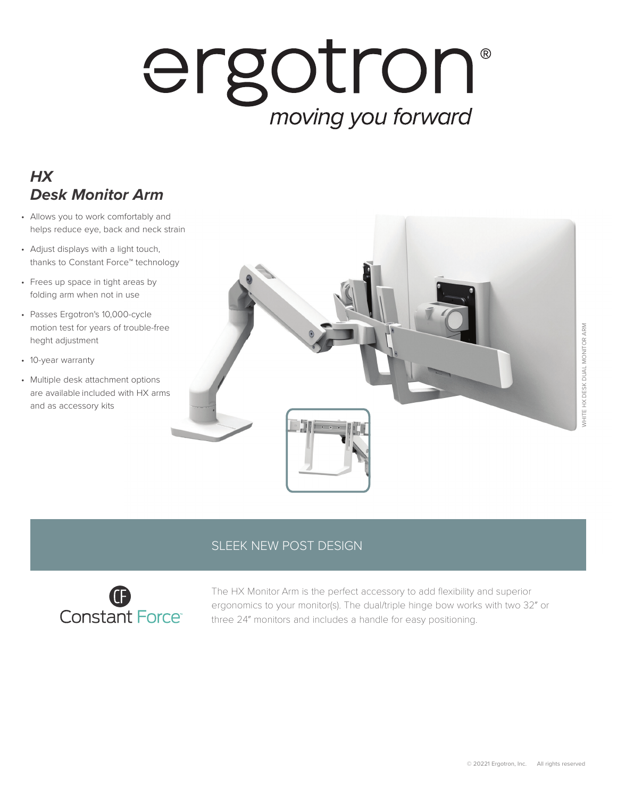## ergotron® moving you forward

## *HX Desk Monitor Arm*

- Allows you to work comfortably and helps reduce eye, back and neck strain
- Adjust displays with a light touch, thanks to Constant Force™ technology
- Frees up space in tight areas by folding arm when not in use
- Passes Ergotron's 10,000-cycle motion test for years of trouble-free heght adjustment
- 10-year warranty
- Multiple desk attachment options are available included with HX arms and as accessory kits



## SLEEK NEW POST DESIGN



The HX Monitor Arm is the perfect accessory to add flexibility and superior ergonomics to your monitor(s). The dual/triple hinge bow works with two 32″ or three 24″ monitors and includes a handle for easy positioning.